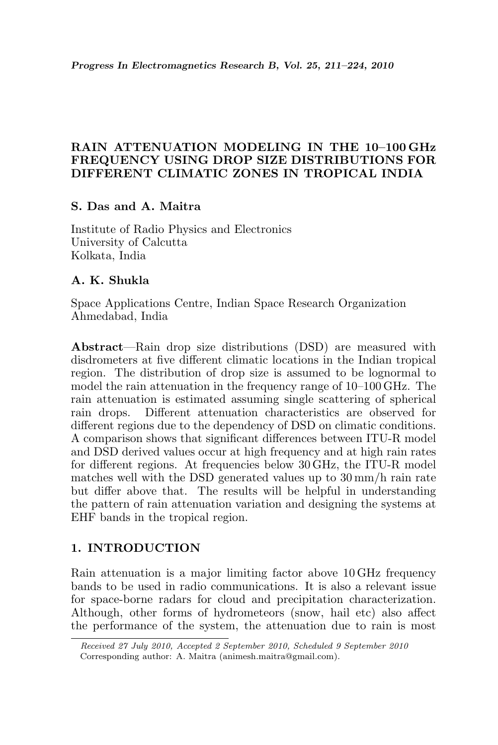### RAIN ATTENUATION MODELING IN THE 10–100 GHz FREQUENCY USING DROP SIZE DISTRIBUTIONS FOR DIFFERENT CLIMATIC ZONES IN TROPICAL INDIA

## S. Das and A. Maitra

Institute of Radio Physics and Electronics University of Calcutta Kolkata, India

# A. K. Shukla

Space Applications Centre, Indian Space Research Organization Ahmedabad, India

Abstract—Rain drop size distributions (DSD) are measured with disdrometers at five different climatic locations in the Indian tropical region. The distribution of drop size is assumed to be lognormal to model the rain attenuation in the frequency range of 10–100 GHz. The rain attenuation is estimated assuming single scattering of spherical rain drops. Different attenuation characteristics are observed for different regions due to the dependency of DSD on climatic conditions. A comparison shows that significant differences between ITU-R model and DSD derived values occur at high frequency and at high rain rates for different regions. At frequencies below 30 GHz, the ITU-R model matches well with the DSD generated values up to 30 mm/h rain rate but differ above that. The results will be helpful in understanding the pattern of rain attenuation variation and designing the systems at EHF bands in the tropical region.

## 1. INTRODUCTION

Rain attenuation is a major limiting factor above 10 GHz frequency bands to be used in radio communications. It is also a relevant issue for space-borne radars for cloud and precipitation characterization. Although, other forms of hydrometeors (snow, hail etc) also affect the performance of the system, the attenuation due to rain is most

Received 27 July 2010, Accepted 2 September 2010, Scheduled 9 September 2010 Corresponding author: A. Maitra (animesh.maitra@gmail.com).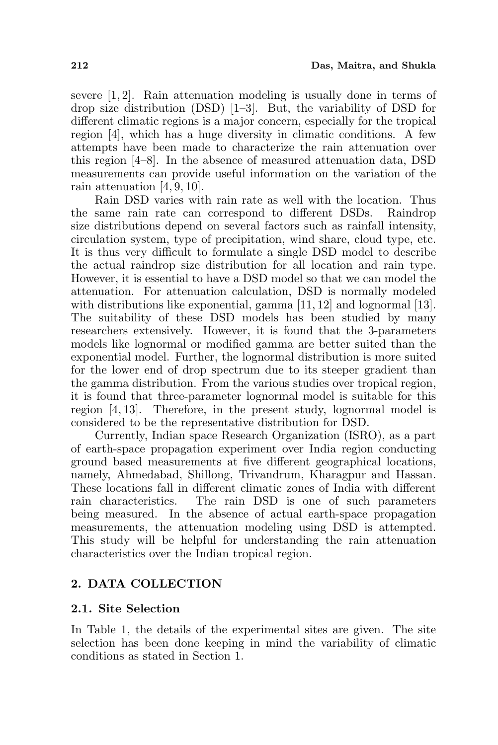severe [1, 2]. Rain attenuation modeling is usually done in terms of drop size distribution (DSD) [1–3]. But, the variability of DSD for different climatic regions is a major concern, especially for the tropical region [4], which has a huge diversity in climatic conditions. A few attempts have been made to characterize the rain attenuation over this region [4–8]. In the absence of measured attenuation data, DSD measurements can provide useful information on the variation of the rain attenuation [4, 9, 10].

Rain DSD varies with rain rate as well with the location. Thus the same rain rate can correspond to different DSDs. Raindrop size distributions depend on several factors such as rainfall intensity, circulation system, type of precipitation, wind share, cloud type, etc. It is thus very difficult to formulate a single DSD model to describe the actual raindrop size distribution for all location and rain type. However, it is essential to have a DSD model so that we can model the attenuation. For attenuation calculation, DSD is normally modeled with distributions like exponential, gamma [11, 12] and lognormal [13]. The suitability of these DSD models has been studied by many researchers extensively. However, it is found that the 3-parameters models like lognormal or modified gamma are better suited than the exponential model. Further, the lognormal distribution is more suited for the lower end of drop spectrum due to its steeper gradient than the gamma distribution. From the various studies over tropical region, it is found that three-parameter lognormal model is suitable for this region [4, 13]. Therefore, in the present study, lognormal model is considered to be the representative distribution for DSD.

Currently, Indian space Research Organization (ISRO), as a part of earth-space propagation experiment over India region conducting ground based measurements at five different geographical locations, namely, Ahmedabad, Shillong, Trivandrum, Kharagpur and Hassan. These locations fall in different climatic zones of India with different rain characteristics. The rain DSD is one of such parameters being measured. In the absence of actual earth-space propagation measurements, the attenuation modeling using DSD is attempted. This study will be helpful for understanding the rain attenuation characteristics over the Indian tropical region.

# 2. DATA COLLECTION

## 2.1. Site Selection

In Table 1, the details of the experimental sites are given. The site selection has been done keeping in mind the variability of climatic conditions as stated in Section 1.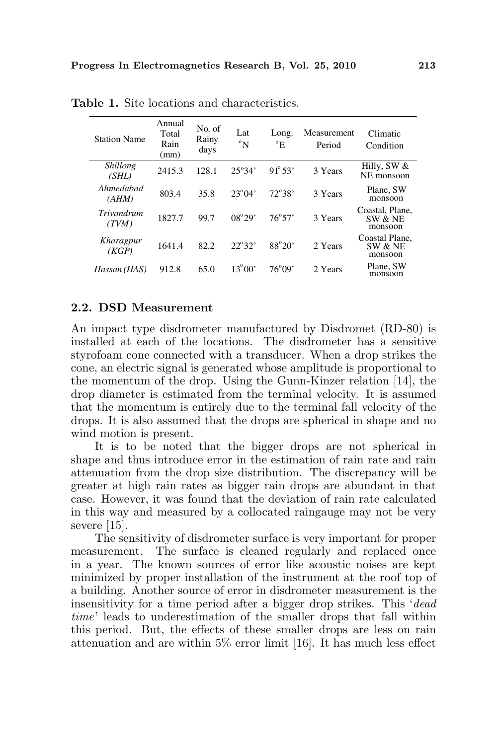| <b>Station Name</b> | Annual<br>Total<br>Rain<br>(mm) | No. of<br>Rainy<br>days | Lat<br>$\rm ^{o}N$ | Long.<br>$\rm ^{o}E$ | Measurement<br>Period | Climatic<br>Condition                 |
|---------------------|---------------------------------|-------------------------|--------------------|----------------------|-----------------------|---------------------------------------|
| Shillong<br>(SHL)   | 2415.3                          | 128.1                   | $25^{\circ}34'$    | $91^{\circ} 53'$     | 3 Years               | Hilly, SW $&$<br>NE monsoon           |
| Ahmedabad<br>(AHM)  | 803.4                           | 35.8                    | $23^{\circ}04'$    | $72^{\circ}38'$      | 3 Years               | Plane, SW<br>monsoon                  |
| Trivandrum<br>(TVM) | 1827.7                          | 99.7                    | $08^{\circ}29'$    | $76^{\circ}57'$      | 3 Years               | Coastal, Plane.<br>SW & NE<br>monsoon |
| Kharagpur<br>(KGP)  | 1641.4                          | 82.2                    | $22^{\circ}32'$    | $88^\circ 20'$       | 2 Years               | Coastal Plane.<br>SW & NE<br>monsoon  |
| Hassan (HAS)        | 912.8                           | 65.0                    | $13^{\circ}00'$    | $76^{\circ}09'$      | 2. Years              | Plane, SW<br>monsoon                  |

Table 1. Site locations and characteristics.

### 2.2. DSD Measurement

An impact type disdrometer manufactured by Disdromet (RD-80) is installed at each of the locations. The disdrometer has a sensitive styrofoam cone connected with a transducer. When a drop strikes the cone, an electric signal is generated whose amplitude is proportional to the momentum of the drop. Using the Gunn-Kinzer relation [14], the drop diameter is estimated from the terminal velocity. It is assumed that the momentum is entirely due to the terminal fall velocity of the drops. It is also assumed that the drops are spherical in shape and no wind motion is present.

It is to be noted that the bigger drops are not spherical in shape and thus introduce error in the estimation of rain rate and rain attenuation from the drop size distribution. The discrepancy will be greater at high rain rates as bigger rain drops are abundant in that case. However, it was found that the deviation of rain rate calculated in this way and measured by a collocated raingauge may not be very severe [15].

The sensitivity of disdrometer surface is very important for proper measurement. The surface is cleaned regularly and replaced once in a year. The known sources of error like acoustic noises are kept minimized by proper installation of the instrument at the roof top of a building. Another source of error in disdrometer measurement is the insensitivity for a time period after a bigger drop strikes. This 'dead time' leads to underestimation of the smaller drops that fall within this period. But, the effects of these smaller drops are less on rain attenuation and are within 5% error limit [16]. It has much less effect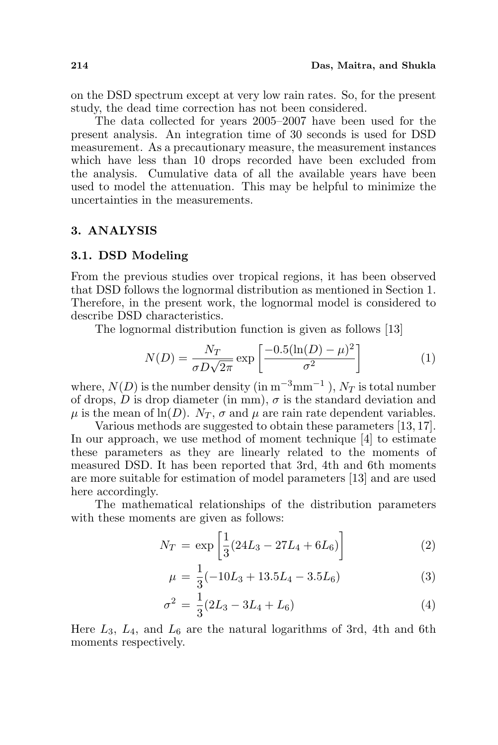on the DSD spectrum except at very low rain rates. So, for the present study, the dead time correction has not been considered.

The data collected for years 2005–2007 have been used for the present analysis. An integration time of 30 seconds is used for DSD measurement. As a precautionary measure, the measurement instances which have less than 10 drops recorded have been excluded from the analysis. Cumulative data of all the available years have been used to model the attenuation. This may be helpful to minimize the uncertainties in the measurements.

#### 3. ANALYSIS

#### 3.1. DSD Modeling

From the previous studies over tropical regions, it has been observed that DSD follows the lognormal distribution as mentioned in Section 1. Therefore, in the present work, the lognormal model is considered to describe DSD characteristics.

The lognormal distribution function is given as follows [13]

$$
N(D) = \frac{N_T}{\sigma D \sqrt{2\pi}} \exp\left[\frac{-0.5(\ln(D) - \mu)^2}{\sigma^2}\right]
$$
 (1)

where,  $N(D)$  is the number density (in  $m^{-3}mm^{-1}$  ),  $N_T$  is total number of drops,  $\overline{D}$  is drop diameter (in mm),  $\sigma$  is the standard deviation and  $\mu$  is the mean of ln(D).  $N_T$ ,  $\sigma$  and  $\mu$  are rain rate dependent variables.

Various methods are suggested to obtain these parameters [13, 17]. In our approach, we use method of moment technique [4] to estimate these parameters as they are linearly related to the moments of measured DSD. It has been reported that 3rd, 4th and 6th moments are more suitable for estimation of model parameters [13] and are used here accordingly.

The mathematical relationships of the distribution parameters with these moments are given as follows:

$$
N_T = \exp\left[\frac{1}{3}(24L_3 - 27L_4 + 6L_6)\right]
$$
 (2)

$$
\mu = \frac{1}{3}(-10L_3 + 13.5L_4 - 3.5L_6) \tag{3}
$$

$$
\sigma^2 = \frac{1}{3}(2L_3 - 3L_4 + L_6) \tag{4}
$$

Here  $L_3$ ,  $L_4$ , and  $L_6$  are the natural logarithms of 3rd, 4th and 6th moments respectively.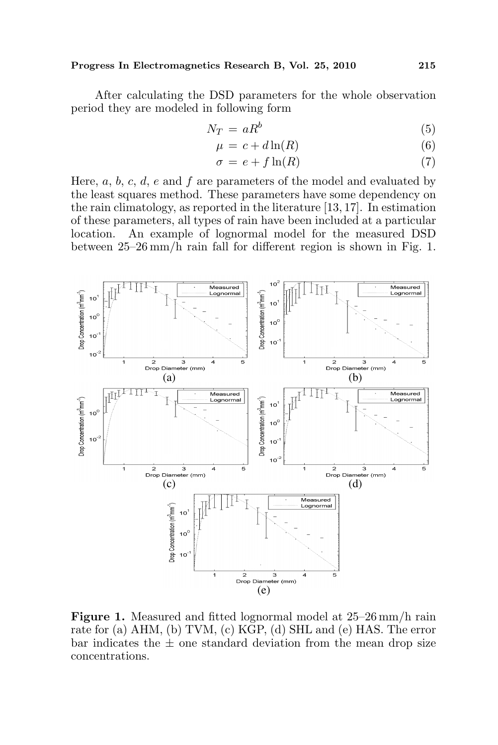After calculating the DSD parameters for the whole observation period they are modeled in following form

$$
N_T = aR^b \tag{5}
$$

$$
\mu = c + d \ln(R) \tag{6}
$$

$$
\sigma = e + f \ln(R) \tag{7}
$$

Here,  $a, b, c, d, e$  and f are parameters of the model and evaluated by the least squares method. These parameters have some dependency on the rain climatology, as reported in the literature [13, 17]. In estimation of these parameters, all types of rain have been included at a particular location. An example of lognormal model for the measured DSD between 25–26 mm/h rain fall for different region is shown in Fig. 1.



Figure 1. Measured and fitted lognormal model at 25–26 mm/h rain rate for (a) AHM, (b) TVM, (c) KGP, (d) SHL and (e) HAS. The error bar indicates the  $\pm$  one standard deviation from the mean drop size concentrations.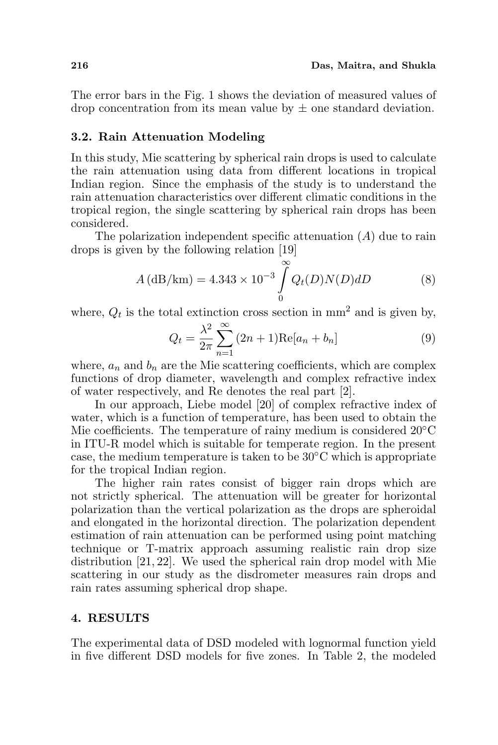The error bars in the Fig. 1 shows the deviation of measured values of drop concentration from its mean value by  $\pm$  one standard deviation.

#### 3.2. Rain Attenuation Modeling

In this study, Mie scattering by spherical rain drops is used to calculate the rain attenuation using data from different locations in tropical Indian region. Since the emphasis of the study is to understand the rain attenuation characteristics over different climatic conditions in the tropical region, the single scattering by spherical rain drops has been considered.

The polarization independent specific attenuation  $(A)$  due to rain drops is given by the following relation [19]

$$
A\left(\frac{dB}{\mu}\right) = 4.343 \times 10^{-3} \int_{0}^{\infty} Q_t(D) N(D) dD \tag{8}
$$

where,  $Q_t$  is the total extinction cross section in mm<sup>2</sup> and is given by,

$$
Q_t = \frac{\lambda^2}{2\pi} \sum_{n=1}^{\infty} (2n+1) \text{Re}[a_n + b_n]
$$
 (9)

where,  $a_n$  and  $b_n$  are the Mie scattering coefficients, which are complex functions of drop diameter, wavelength and complex refractive index of water respectively, and Re denotes the real part [2].

In our approach, Liebe model [20] of complex refractive index of water, which is a function of temperature, has been used to obtain the Mie coefficients. The temperature of rainy medium is considered 20◦C in ITU-R model which is suitable for temperate region. In the present case, the medium temperature is taken to be  $30^{\circ}$ C which is appropriate for the tropical Indian region.

The higher rain rates consist of bigger rain drops which are not strictly spherical. The attenuation will be greater for horizontal polarization than the vertical polarization as the drops are spheroidal and elongated in the horizontal direction. The polarization dependent estimation of rain attenuation can be performed using point matching technique or T-matrix approach assuming realistic rain drop size distribution [21, 22]. We used the spherical rain drop model with Mie scattering in our study as the disdrometer measures rain drops and rain rates assuming spherical drop shape.

#### 4. RESULTS

The experimental data of DSD modeled with lognormal function yield in five different DSD models for five zones. In Table 2, the modeled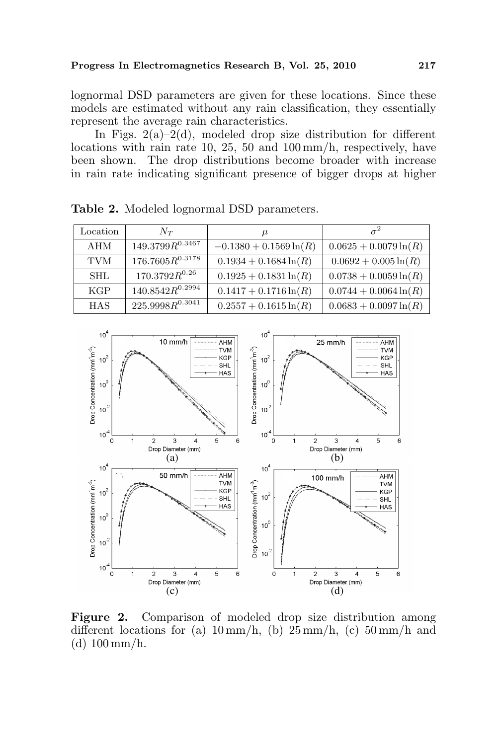lognormal DSD parameters are given for these locations. Since these models are estimated without any rain classification, they essentially represent the average rain characteristics.

In Figs.  $2(a)-2(d)$ , modeled drop size distribution for different locations with rain rate 10, 25, 50 and 100 mm/h, respectively, have been shown. The drop distributions become broader with increase in rain rate indicating significant presence of bigger drops at higher

| Location   | $N_{T}$              | $\mu$                     | $\sigma^2$               |
|------------|----------------------|---------------------------|--------------------------|
| AHM        | $149.3799R^{0.3467}$ | $-0.1380 + 0.1569 \ln(R)$ | $0.0625 + 0.0079 \ln(R)$ |
| <b>TVM</b> | $176.7605R^{0.3178}$ | $0.1934 + 0.1684 \ln(R)$  | $0.0692 + 0.005 \ln(R)$  |
| <b>SHL</b> | $170.3792R^{0.26}$   | $0.1925 + 0.1831 \ln(R)$  | $0.0738 + 0.0059 \ln(R)$ |
| KGP        | $140.8542R^{0.2994}$ | $0.1417 + 0.1716 \ln(R)$  | $0.0744 + 0.0064 \ln(R)$ |
| <b>HAS</b> | $225.9998R^{0.3041}$ | $0.2557 + 0.1615 \ln(R)$  | $0.0683 + 0.0097 \ln(R)$ |

Table 2. Modeled lognormal DSD parameters.



Figure 2. Comparison of modeled drop size distribution among different locations for (a)  $10 \text{ mm/h}$ , (b)  $25 \text{ mm/h}$ , (c)  $50 \text{ mm/h}$  and (d) 100 mm/h.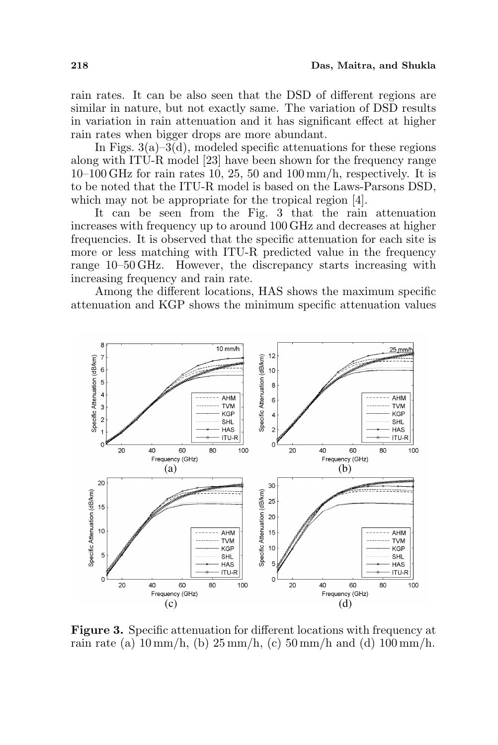rain rates. It can be also seen that the DSD of different regions are similar in nature, but not exactly same. The variation of DSD results in variation in rain attenuation and it has significant effect at higher rain rates when bigger drops are more abundant.

In Figs.  $3(a)-3(d)$ , modeled specific attenuations for these regions along with ITU-R model [23] have been shown for the frequency range 10–100 GHz for rain rates 10, 25, 50 and 100 mm/h, respectively. It is to be noted that the ITU-R model is based on the Laws-Parsons DSD, which may not be appropriate for the tropical region [4].

It can be seen from the Fig. 3 that the rain attenuation increases with frequency up to around 100 GHz and decreases at higher frequencies. It is observed that the specific attenuation for each site is more or less matching with ITU-R predicted value in the frequency range 10–50 GHz. However, the discrepancy starts increasing with increasing frequency and rain rate.

Among the different locations, HAS shows the maximum specific attenuation and KGP shows the minimum specific attenuation values



Figure 3. Specific attenuation for different locations with frequency at rain rate (a)  $10 \text{ mm/h}$ , (b)  $25 \text{ mm/h}$ , (c)  $50 \text{ mm/h}$  and (d)  $100 \text{ mm/h}$ .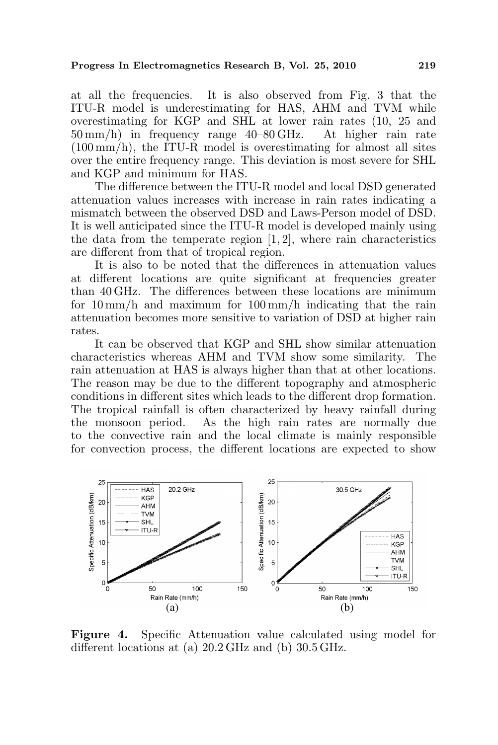at all the frequencies. It is also observed from Fig. 3 that the ITU-R model is underestimating for HAS, AHM and TVM while overestimating for KGP and SHL at lower rain rates (10, 25 and 50 mm/h) in frequency range 40–80 GHz. At higher rain rate  $(100 \,\mathrm{mm/h})$ , the ITU-R model is overestimating for almost all sites over the entire frequency range. This deviation is most severe for SHL and KGP and minimum for HAS.

The difference between the ITU-R model and local DSD generated attenuation values increases with increase in rain rates indicating a mismatch between the observed DSD and Laws-Person model of DSD. It is well anticipated since the ITU-R model is developed mainly using the data from the temperate region  $[1, 2]$ , where rain characteristics are different from that of tropical region.

It is also to be noted that the differences in attenuation values at different locations are quite significant at frequencies greater than 40 GHz. The differences between these locations are minimum for 10 mm/h and maximum for 100 mm/h indicating that the rain attenuation becomes more sensitive to variation of DSD at higher rain rates.

It can be observed that KGP and SHL show similar attenuation characteristics whereas AHM and TVM show some similarity. The rain attenuation at HAS is always higher than that at other locations. The reason may be due to the different topography and atmospheric conditions in different sites which leads to the different drop formation. The tropical rainfall is often characterized by heavy rainfall during the monsoon period. As the high rain rates are normally due to the convective rain and the local climate is mainly responsible for convection process, the different locations are expected to show



Figure 4. Specific Attenuation value calculated using model for different locations at (a) 20.2 GHz and (b) 30.5 GHz.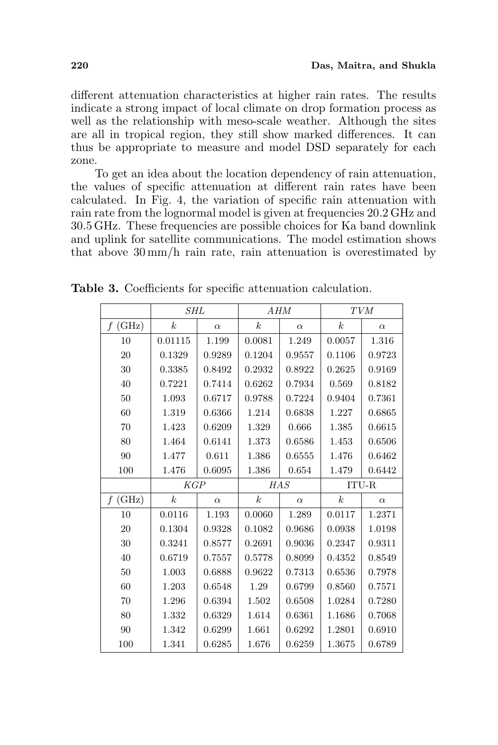different attenuation characteristics at higher rain rates. The results indicate a strong impact of local climate on drop formation process as well as the relationship with meso-scale weather. Although the sites are all in tropical region, they still show marked differences. It can thus be appropriate to measure and model DSD separately for each zone.

To get an idea about the location dependency of rain attenuation, the values of specific attenuation at different rain rates have been calculated. In Fig. 4, the variation of specific rain attenuation with rain rate from the lognormal model is given at frequencies 20.2 GHz and 30.5 GHz. These frequencies are possible choices for Ka band downlink and uplink for satellite communications. The model estimation shows that above 30 mm/h rain rate, rain attenuation is overestimated by

|            | <i>SHL</i>       |           | AHM                                 |          | <b>TVM</b>       |          |
|------------|------------------|-----------|-------------------------------------|----------|------------------|----------|
| (GHz)<br>f | $\boldsymbol{k}$ | $\alpha$  | $\boldsymbol{k}$                    | $\alpha$ | k <sub>i</sub>   | $\alpha$ |
| 10         | 0.01115          | 1.199     | 0.0081                              | 1.249    | 0.0057           | 1.316    |
| 20         | 0.1329           | 0.9289    | 0.1204                              | 0.9557   | 0.1106           | 0.9723   |
| 30         | 0.3385           | 0.8492    | 0.2932                              | 0.8922   | 0.2625           | 0.9169   |
| 40         | 0.7221           | 0.7414    | 0.6262                              | 0.7934   | 0.569            | 0.8182   |
| 50         | 1.093            | 0.6717    | 0.9788                              | 0.7224   | 0.9404           | 0.7361   |
| 60         | 1.319            | 0.6366    | 1.214                               | 0.6838   | 1.227            | 0.6865   |
| 70         | 1.423            | 0.6209    | 1.329                               | 0.666    | 1.385            | 0.6615   |
| 80         | 1.464            | 0.6141    | 1.373                               | 0.6586   | 1.453            | 0.6506   |
| 90         | 1.477            | 0.611     | 1.386                               | 0.6555   | 1.476            | 0.6462   |
| 100        | 1.476            | 0.6095    | 1.386                               | 0.654    | 1.479            | 0.6442   |
|            | KGP              |           | $\mathcal{H}\mathcal{A}\mathcal{S}$ |          | ITU-R            |          |
|            |                  |           |                                     |          |                  |          |
| (GHz)<br>f | $\boldsymbol{k}$ | $\alpha$  | $\boldsymbol{k}$                    | $\alpha$ | $\boldsymbol{k}$ | $\alpha$ |
| 10         | 0.0116           | $1.193\,$ | 0.0060                              | 1.289    | 0.0117           | 1.2371   |
| 20         | 0.1304           | 0.9328    | 0.1082                              | 0.9686   | 0.0938           | 1.0198   |
| 30         | 0.3241           | 0.8577    | 0.2691                              | 0.9036   | 0.2347           | 0.9311   |
| 40         | 0.6719           | 0.7557    | 0.5778                              | 0.8099   | 0.4352           | 0.8549   |
| $50\,$     | 1.003            | 0.6888    | 0.9622                              | 0.7313   | 0.6536           | 0.7978   |
| 60         | 1.203            | 0.6548    | 1.29                                | 0.6799   | 0.8560           | 0.7571   |
| 70         | 1.296            | 0.6394    | 1.502                               | 0.6508   | 1.0284           | 0.7280   |
| 80         | 1.332            | 0.6329    | 1.614                               | 0.6361   | 1.1686           | 0.7068   |
| 90         | 1.342            | 0.6299    | 1.661                               | 0.6292   | 1.2801           | 0.6910   |

Table 3. Coefficients for specific attenuation calculation.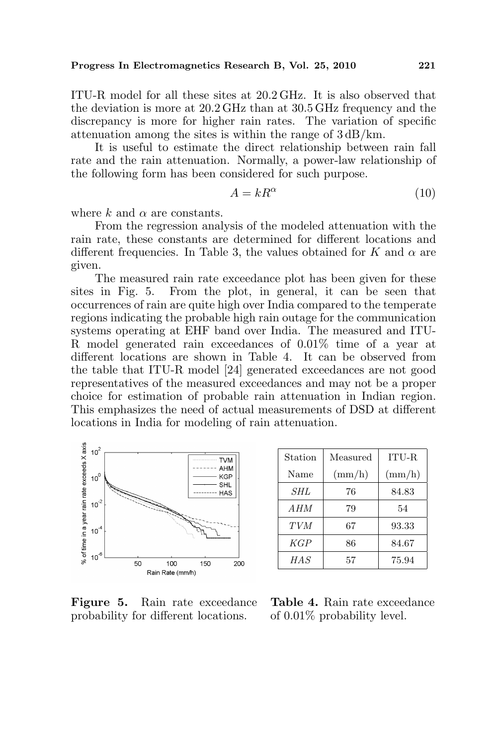ITU-R model for all these sites at 20.2 GHz. It is also observed that the deviation is more at  $20.2 \text{ GHz}$  than at  $30.5 \text{ GHz}$  frequency and the discrepancy is more for higher rain rates. The variation of specific attenuation among the sites is within the range of 3 dB/km.

It is useful to estimate the direct relationship between rain fall rate and the rain attenuation. Normally, a power-law relationship of the following form has been considered for such purpose.

$$
A = kR^{\alpha} \tag{10}
$$

where k and  $\alpha$  are constants.

From the regression analysis of the modeled attenuation with the rain rate, these constants are determined for different locations and different frequencies. In Table 3, the values obtained for K and  $\alpha$  are given.

The measured rain rate exceedance plot has been given for these sites in Fig. 5. From the plot, in general, it can be seen that occurrences of rain are quite high over India compared to the temperate regions indicating the probable high rain outage for the communication systems operating at EHF band over India. The measured and ITU-R model generated rain exceedances of 0.01% time of a year at different locations are shown in Table 4. It can be observed from the table that ITU-R model [24] generated exceedances are not good representatives of the measured exceedances and may not be a proper choice for estimation of probable rain attenuation in Indian region. This emphasizes the need of actual measurements of DSD at different locations in India for modeling of rain attenuation.



| Station    | Measured        | ITU-R           |
|------------|-----------------|-----------------|
| Name       | $\text{(mm/h)}$ | $\text{(mm/h)}$ |
| SHL        | 76              | 84.83           |
| A HM       | 79              | 54              |
| <b>TVM</b> | 67              | 93.33           |
| KGP        | 86              | 84.67           |
| HAS        | 57              | 75.94           |

Figure 5. Rain rate exceedance probability for different locations.

Table 4. Rain rate exceedance of 0.01% probability level.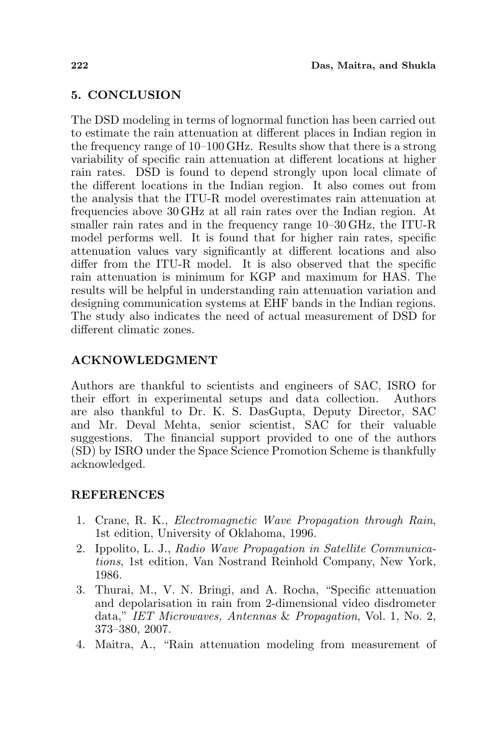# 5. CONCLUSION

The DSD modeling in terms of lognormal function has been carried out to estimate the rain attenuation at different places in Indian region in the frequency range of 10–100 GHz. Results show that there is a strong variability of specific rain attenuation at different locations at higher rain rates. DSD is found to depend strongly upon local climate of the different locations in the Indian region. It also comes out from the analysis that the ITU-R model overestimates rain attenuation at frequencies above 30 GHz at all rain rates over the Indian region. At smaller rain rates and in the frequency range 10–30 GHz, the ITU-R model performs well. It is found that for higher rain rates, specific attenuation values vary significantly at different locations and also differ from the ITU-R model. It is also observed that the specific rain attenuation is minimum for KGP and maximum for HAS. The results will be helpful in understanding rain attenuation variation and designing communication systems at EHF bands in the Indian regions. The study also indicates the need of actual measurement of DSD for different climatic zones.

# ACKNOWLEDGMENT

Authors are thankful to scientists and engineers of SAC, ISRO for their effort in experimental setups and data collection. Authors are also thankful to Dr. K. S. DasGupta, Deputy Director, SAC and Mr. Deval Mehta, senior scientist, SAC for their valuable suggestions. The financial support provided to one of the authors (SD) by ISRO under the Space Science Promotion Scheme is thankfully acknowledged.

## REFERENCES

- 1. Crane, R. K., Electromagnetic Wave Propagation through Rain, 1st edition, University of Oklahoma, 1996.
- 2. Ippolito, L. J., Radio Wave Propagation in Satellite Communications, 1st edition, Van Nostrand Reinhold Company, New York, 1986.
- 3. Thurai, M., V. N. Bringi, and A. Rocha, "Specific attenuation and depolarisation in rain from 2-dimensional video disdrometer data," IET Microwaves, Antennas & Propagation, Vol. 1, No. 2, 373–380, 2007.
- 4. Maitra, A., "Rain attenuation modeling from measurement of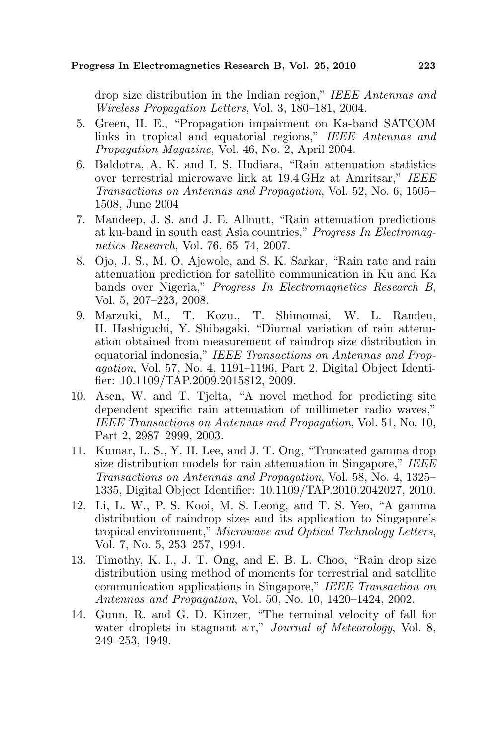drop size distribution in the Indian region," IEEE Antennas and Wireless Propagation Letters, Vol. 3, 180–181, 2004.

- 5. Green, H. E., "Propagation impairment on Ka-band SATCOM links in tropical and equatorial regions," IEEE Antennas and Propagation Magazine, Vol. 46, No. 2, April 2004.
- 6. Baldotra, A. K. and I. S. Hudiara, "Rain attenuation statistics over terrestrial microwave link at 19.4 GHz at Amritsar," IEEE Transactions on Antennas and Propagation, Vol. 52, No. 6, 1505– 1508, June 2004
- 7. Mandeep, J. S. and J. E. Allnutt, "Rain attenuation predictions at ku-band in south east Asia countries," Progress In Electromagnetics Research, Vol. 76, 65–74, 2007.
- 8. Ojo, J. S., M. O. Ajewole, and S. K. Sarkar, "Rain rate and rain attenuation prediction for satellite communication in Ku and Ka bands over Nigeria," Progress In Electromagnetics Research B, Vol. 5, 207–223, 2008.
- 9. Marzuki, M., T. Kozu., T. Shimomai, W. L. Randeu, H. Hashiguchi, Y. Shibagaki, "Diurnal variation of rain attenuation obtained from measurement of raindrop size distribution in equatorial indonesia," IEEE Transactions on Antennas and Propagation, Vol. 57, No. 4, 1191–1196, Part 2, Digital Object Identifier: 10.1109/TAP.2009.2015812, 2009.
- 10. Asen, W. and T. Tjelta, "A novel method for predicting site dependent specific rain attenuation of millimeter radio waves," IEEE Transactions on Antennas and Propagation, Vol. 51, No. 10, Part 2, 2987–2999, 2003.
- 11. Kumar, L. S., Y. H. Lee, and J. T. Ong, "Truncated gamma drop size distribution models for rain attenuation in Singapore," IEEE Transactions on Antennas and Propagation, Vol. 58, No. 4, 1325– 1335, Digital Object Identifier: 10.1109/TAP.2010.2042027, 2010.
- 12. Li, L. W., P. S. Kooi, M. S. Leong, and T. S. Yeo, "A gamma distribution of raindrop sizes and its application to Singapore's tropical environment," Microwave and Optical Technology Letters, Vol. 7, No. 5, 253–257, 1994.
- 13. Timothy, K. I., J. T. Ong, and E. B. L. Choo, "Rain drop size distribution using method of moments for terrestrial and satellite communication applications in Singapore," IEEE Transaction on Antennas and Propagation, Vol. 50, No. 10, 1420–1424, 2002.
- 14. Gunn, R. and G. D. Kinzer, "The terminal velocity of fall for water droplets in stagnant air," Journal of Meteorology, Vol. 8, 249–253, 1949.